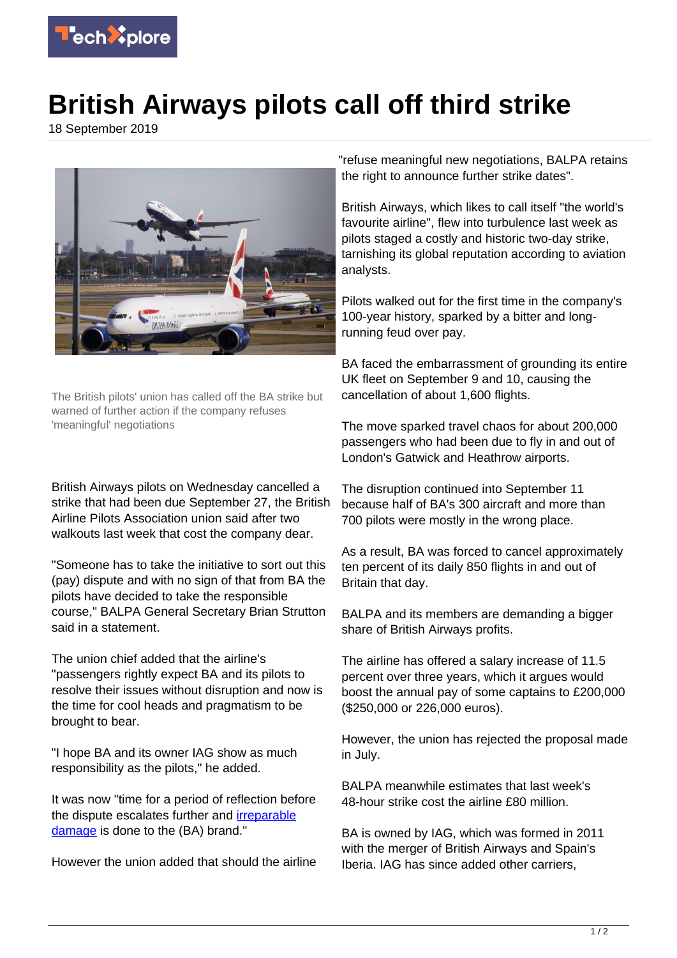

## **British Airways pilots call off third strike**

18 September 2019



The British pilots' union has called off the BA strike but warned of further action if the company refuses 'meaningful' negotiations

British Airways pilots on Wednesday cancelled a strike that had been due September 27, the British Airline Pilots Association union said after two walkouts last week that cost the company dear.

"Someone has to take the initiative to sort out this (pay) dispute and with no sign of that from BA the pilots have decided to take the responsible course," BALPA General Secretary Brian Strutton said in a statement.

The union chief added that the airline's "passengers rightly expect BA and its pilots to resolve their issues without disruption and now is the time for cool heads and pragmatism to be brought to bear.

"I hope BA and its owner IAG show as much responsibility as the pilots," he added.

It was now "time for a period of reflection before the dispute escalates further and [irreparable](https://techxplore.com/tags/irreparable+damage/) [damage](https://techxplore.com/tags/irreparable+damage/) is done to the (BA) brand."

However the union added that should the airline

"refuse meaningful new negotiations, BALPA retains the right to announce further strike dates".

British Airways, which likes to call itself "the world's favourite airline", flew into turbulence last week as pilots staged a costly and historic two-day strike, tarnishing its global reputation according to aviation analysts.

Pilots walked out for the first time in the company's 100-year history, sparked by a bitter and longrunning feud over pay.

BA faced the embarrassment of grounding its entire UK fleet on September 9 and 10, causing the cancellation of about 1,600 flights.

The move sparked travel chaos for about 200,000 passengers who had been due to fly in and out of London's Gatwick and Heathrow airports.

The disruption continued into September 11 because half of BA's 300 aircraft and more than 700 pilots were mostly in the wrong place.

As a result, BA was forced to cancel approximately ten percent of its daily 850 flights in and out of Britain that day.

BALPA and its members are demanding a bigger share of British Airways profits.

The airline has offered a salary increase of 11.5 percent over three years, which it argues would boost the annual pay of some captains to £200,000 (\$250,000 or 226,000 euros).

However, the union has rejected the proposal made in July.

BALPA meanwhile estimates that last week's 48-hour strike cost the airline £80 million.

BA is owned by IAG, which was formed in 2011 with the merger of British Airways and Spain's Iberia. IAG has since added other carriers,